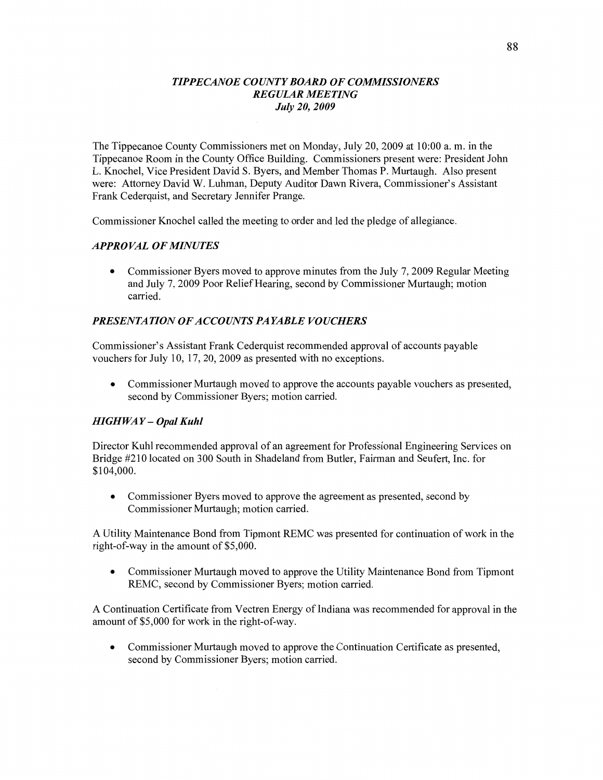#### *TIPPECANOE COUNTYBOARD* OF *COMMISSIONERS REGULAR MEETING July* 20, *2009*

The Tippecanoe County Commissioners met on Monday, July 20, 2009 at 10:00 a. m. in the Tippecanoe Room in the County Office Building. Commissioners present were: President John L. Knochel, Vice President David S. Byers, and Member Thomas P. Murtaugh. Also present were: Attorney David W. Luhman, Deputy Auditor Dawn Rivera, Commissioner's Assistant Frank Cederquist, and Secretary Jennifer Prange.

Commissioner Knochel called the meeting to order and led the pledge of allegiance.

# *APPROVAL* OF *MINUTES*

**0** Commissioner Byers moved to approve **minutes** from the July 7, 2009 Regular Meeting and July 7, 2009 **Poor** Relief **Hearing,** second by Commissioner Murtaugh; motion carried.

# **PRESENTATION OF ACCOUNTS PAYABLE VOUCHERS**

Commissioner's **Assistant Frank** Cederquist recommended approval of accounts payable vouchers for July 10, 17, 20, 2009 as presented with no exceptions.

**0** Commissioner Murtaugh **moved** to approve the accounts payable vouchers as presented, second by Commissioner Byers; motion carried.

# *HIGHWAY* — *Opal Kuhl*

Director Kuhl recommended approval of an agreement for Professional Engineering Services on Bridge #210 located on 300 South in Shadeland from Butler, **Fairman** and Seufert, Inc. for \$104,000.

**0** Commissioner Byers moved to approve the agreement as presented, second by Commissioner Murtaugh; motion carried.

**A** Utility Maintenance Bond from Tipmont REMC was presented for continuation of work in the right-of-way in the amount of \$5,000.

**0** Commissioner Murtaugh moved to approve the Utility Maintenance Bond from Tipmont REMC, second by Commissioner Byers; **motion carried.** 

**A** Continuation Certificate from Vectren Energy of Indiana was recommended for approval in the amount of \$5,000 for work in the right-of-way.

**0** Commissioner **Murtaugh** moved to approve the Continuation Certificate as presented, second by Commissioner Byers; motion carried.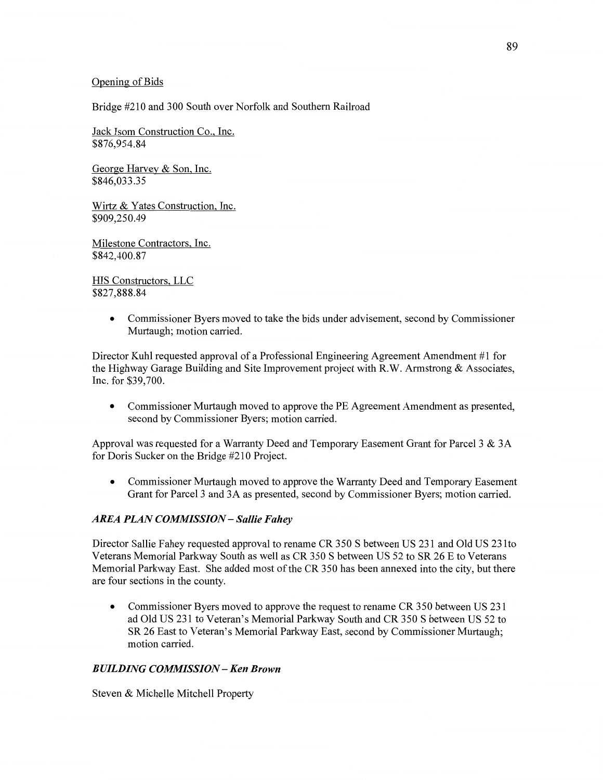#### Qpening of **Bids**

Bridge #210 and 300 South over Norfolk and Southern Railroad

Jack **Isom** Construction Co.. Inc. \$876,954.84

George Harvev & **Son. Inc.**  \$846,033.35

Wirtz & Yates Construction. **Inc.**  \$909,250.49

Milestone **Contractors.** Inc. \$842,400.87

HIS Constructors, LLC **\$827,888.84** 

> **0** Commissioner Byers moved to take the bids under advisement, **second** by Commissioner Murtaugh; motion carried.

Director Kuhl requested approval of **a** Professional Engineering Agreement **Amendment** #1 for the Highway Garage Building and Site Improvement project with R.W. Armstrong & Associates, Inc. for \$39,700.

**0** Commissioner Murtaugh moved to approve the PE Agreement **Amendment** as presented, second by Commissioner Byers; motion carried.

Approval was requested for a Warranty Deed and Temporary Easement Grant for Parcel 3 & 3A for Doris Sucker on the Bridge #210 Project.

**0** Commissioner Murtaugh **moved** to approve the Warranty Deed and Temporary Easement Grant for Parcel 3 and 3A as presented, second by Commissioner Byers; motion carried.

# *AREA PLAN COMMISSION* — *Sallie Fahey*

Director Sallie Fahey requested approval to rename CR 350 **S** between US 231 and Old US 23 lto Veterans Memorial Parkway South as well as CR 350 **S** between US 52 to SR 26 E to Veterans Memorial Parkway East. She added most of the CR 350 has been annexed into the city, but there are four sections in the county.

**0** Commissioner Byers moved to approve the request to rename CR 350 between US 231 ad Old US 231 to Veteran's Memorial Parkway South and CR 350 **S** between US 52 to SR 26 East to Veteran's Memorial Parkway East, second by Commissioner Murtaugh; motion carried.

#### *BUILDING COMMISSION* — Ken *Brown*

Steven & Michelle Mitchell Property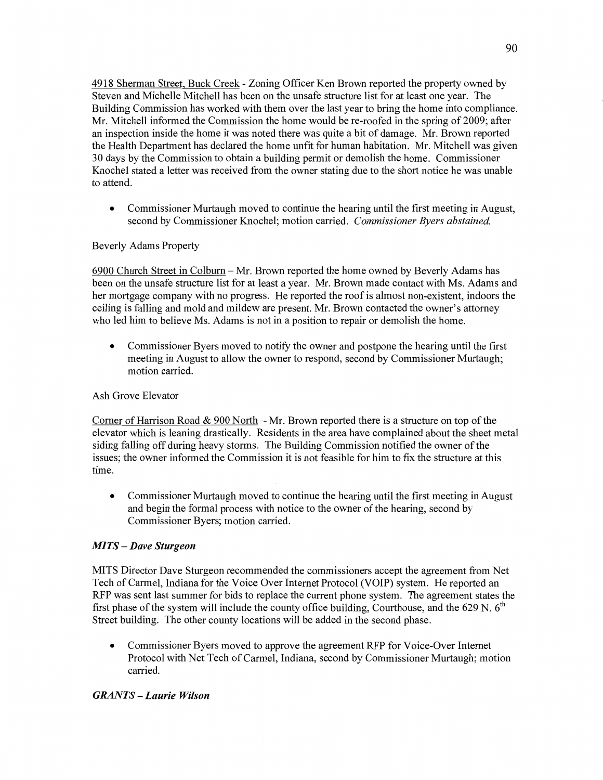4918 Sherman Street. Buck Creek *-* Zoning Officer Ken Brown reported the property owned by Steven and Michelle Mitchell has been on the unsafe structure list for at least one year. The Building Commission has worked with them over the last year to bring the home into compliance. Mr. Mitchell informed the Commission the home would be re-roofed in the spring of 2009; after an inspection inside the home it was noted there was quite a bit of damage. Mr. Brown reported the Health Department has declared the home unfit for **human** habitation. Mr. Mitchell was given 30 days by the Commission to obtain a building permit or demolish the home. Commissioner Knochel stated **a** letter was received from the owner stating due to the short notice he was unable to **attend.** 

**0** Commissioner Murtaugh moved to continue the hearing until the first meeting in August, second by Commissioner Knochel; motion carried. *Commissioner Byers abstained.* 

# Beverly Adams Property

6900 Church Street in Colburn **—** Mr. Brown reported the home owned by Beverly Adams has been on the unsafe structure list for at least **a** year. Mr. Brown made contact with Ms. Adams and her mortgage company with no progress. He reported the roof is almost non-existent, indoors the ceiling is falling and mold and mildew are present. Mr. Brown contacted the owner's attorney who led him to believe Ms. Adams is not in a position to repair or demolish the home.

**0** Commissioner Byers moved to notify the owner and postpone the hearing until the **first**  meeting in August to allow the owner to respond, second by Commissioner Murtaugh; **motion** carried.

# Ash Grove Elevator

Corner of Harrison Road & 900 North **—** Mr. Brown reported there is a structure on top of the elevator which is leaning drastically. Residents in the area have complained about the sheet metal siding falling off during heavy **storms.** The Building Commission notified the owner of the issues; the owner informed the Commission it is not feasible for him to fix the structure at **this**  time.

**0** Commissioner Murtaugh moved to continue the hearing until the first meeting in August and begin the formal process with notice to the owner of the hearing, second by Commissioner Byers; motion carried.

# MI TS *— Dave Sturgeon*

**MITS** Director Dave Sturgeon recommended the commissioners accept the agreement from Net Tech of Carmel, Indiana for the Voice Over Internet Protocol (V **OIP)** system. He reported an RFP was sent last summer for bids to replace the current phone system. The agreement states the first phase of the system will include the county office building, Courthouse, and the 629 N.  $6<sup>th</sup>$ Street building. The other county locations will be added in the second phase.

**0** Commissioner Byers moved to approve the agreement RFP for Voice-Over Internet Protocol with Net Tech of Carmel, **Indiana,** second by Commissioner Murtaugh; motion carried.

# *GRANTS — Laurie Wilson*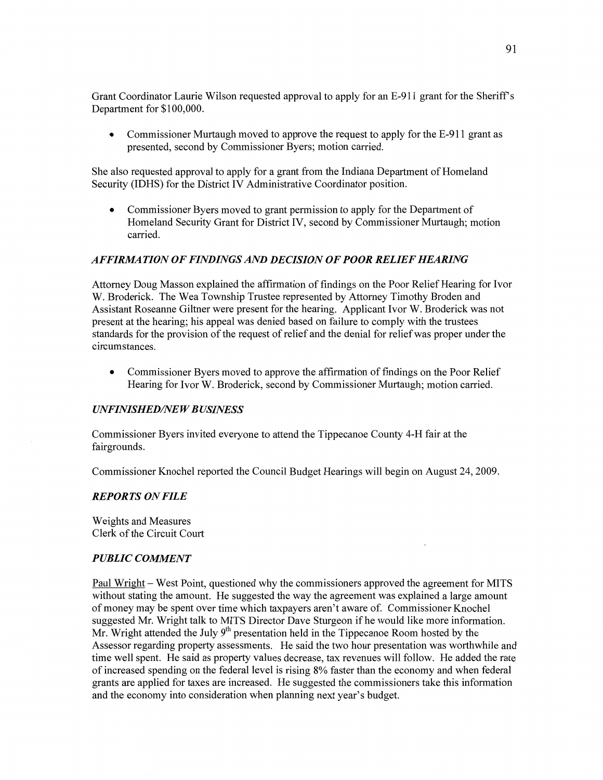**Grant** Coordinator Laurie Wilson requested approval to apply for an E-911 grant for the Sheriff's Department for **\$100,000.** 

*0* Commissioner Murtaugh moved to **approve** the request to apply for the E-911 grant as presented, second by Commissioner Byers; motion carried.

She also requested approval to apply for **a** grant from the **Indiana** Department of Homeland Security (IDHS) for the District IV Administrative Coordinator position.

**0** Commissioner Byers moved to grant **permission** to apply for the Department of **Homeland** Security Grant for District IV, second by Commissioner Murtaugh; motion carried.

#### *AFFIRZIlA TION* 0F *FINDINGS* AND *DECISION* OF *POOR RELIEF HEARING*

Attorney Doug Masson explained the affirmation of findings on the Poor Relief Hearing for Ivor W. Broderick. The Wea Township Trustee represented by Attorney Timothy Broden and Assistant Roseanne Giltner were present for the hearing. Applicant Ivor W. Broderick was not present at the hearing; his appeal was denied based on failure to comply with the trustees standards for the provision of the request of relief and the denial for relief was proper under the circumstances.

**0** Commissioner Byers moved to approve the affirmation of findings on the Poor Relief Hearing for Ivor W. Broderick, second by Commissioner Murtaugh; motion carried.

#### *UNFINISHED/NEW BUSINESS*

Commissioner Byers invited everyone to **attend** the Tippecanoe County 4-H fair at the fairgrounds.

Commissioner Knochel reported the Council Budget Hearings will begin on August 24, 2009.

#### *REPORTS* ON *FILE*

Weights and Measures **Clerk** of the Circuit Court

#### *PUBLIC COWENT*

Paul Wright *—* West Point, questioned why the commissioners approved the agreement for **MITS**  without stating the amount. He suggested the way the agreement was explained **a** large **amount**  of money may be spent over time which taxpayers aren't aware of. Commissioner Knochel suggested Mr. Wright talk to MITS Director Dave Sturgeon if he would like more information. Mr. Wright attended the July  $9<sup>th</sup>$  presentation held in the Tippecanoe Room hosted by the Assessor regarding property assessments. He said the two hour presentation was worthwhile and time well spent. He said as property values decrease, tax revenues will follow. He added the rate of increased spending on the federal level is rising 8% faster than the economy and when federal grants are applied for taxes are increased. He suggested the commissioners **take** this information and the economy into consideration when planning next year's budget.